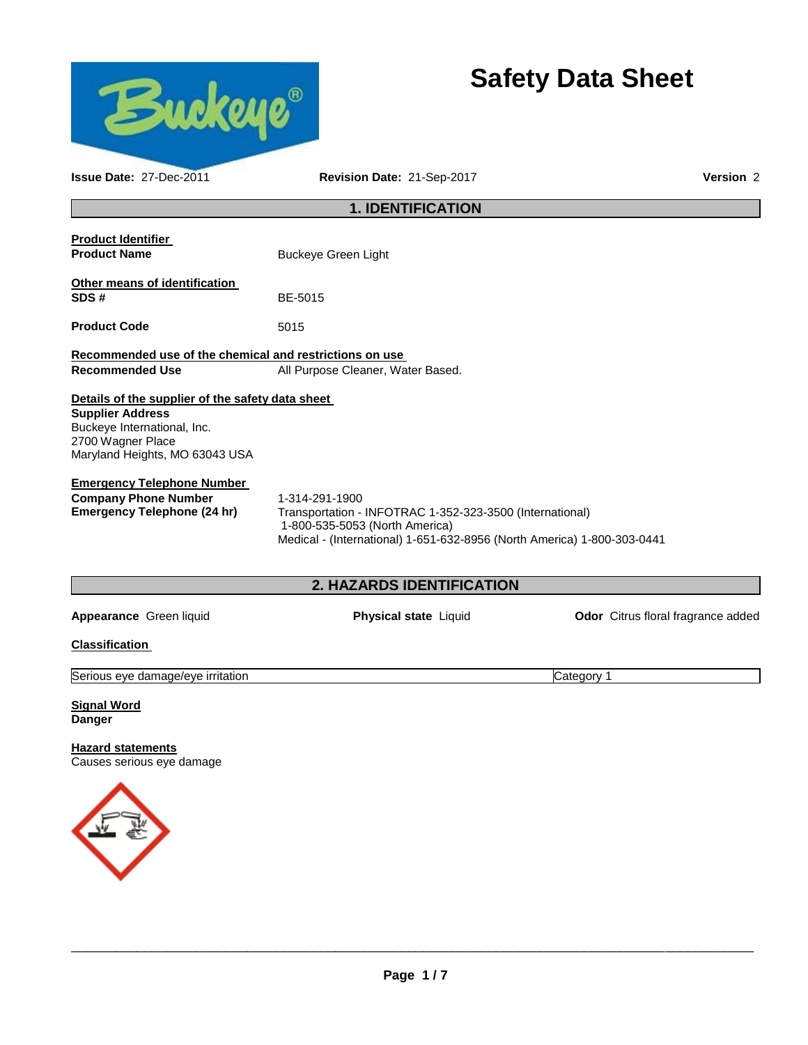

# **Safety Data Sheet**

| Issue Date: 27-Dec-2011                                                                                                                                           | Version 2                                                                                                                                                                               |                                    |  |  |  |
|-------------------------------------------------------------------------------------------------------------------------------------------------------------------|-----------------------------------------------------------------------------------------------------------------------------------------------------------------------------------------|------------------------------------|--|--|--|
|                                                                                                                                                                   | <b>1. IDENTIFICATION</b>                                                                                                                                                                |                                    |  |  |  |
| <b>Product Identifier</b><br><b>Product Name</b>                                                                                                                  | <b>Buckeye Green Light</b>                                                                                                                                                              |                                    |  |  |  |
| Other means of identification<br>SDS#                                                                                                                             | BE-5015                                                                                                                                                                                 |                                    |  |  |  |
| <b>Product Code</b>                                                                                                                                               | 5015                                                                                                                                                                                    |                                    |  |  |  |
| Recommended use of the chemical and restrictions on use<br><b>Recommended Use</b>                                                                                 | All Purpose Cleaner, Water Based.                                                                                                                                                       |                                    |  |  |  |
| Details of the supplier of the safety data sheet<br><b>Supplier Address</b><br>Buckeye International, Inc.<br>2700 Wagner Place<br>Maryland Heights, MO 63043 USA |                                                                                                                                                                                         |                                    |  |  |  |
| <b>Emergency Telephone Number</b><br><b>Company Phone Number</b><br><b>Emergency Telephone (24 hr)</b>                                                            | 1-314-291-1900<br>Transportation - INFOTRAC 1-352-323-3500 (International)<br>1-800-535-5053 (North America)<br>Medical - (International) 1-651-632-8956 (North America) 1-800-303-0441 |                                    |  |  |  |
|                                                                                                                                                                   | 2. HAZARDS IDENTIFICATION                                                                                                                                                               |                                    |  |  |  |
| Appearance Green liquid                                                                                                                                           | Physical state Liquid                                                                                                                                                                   | Odor Citrus floral fragrance added |  |  |  |
| <b>Classification</b>                                                                                                                                             |                                                                                                                                                                                         |                                    |  |  |  |
| Serious eye damage/eye irritation                                                                                                                                 |                                                                                                                                                                                         | Category 1                         |  |  |  |
| <b>Signal Word</b><br><b>Danger</b>                                                                                                                               |                                                                                                                                                                                         |                                    |  |  |  |
| <b>Hazard statements</b><br>Causes serious eye damage                                                                                                             |                                                                                                                                                                                         |                                    |  |  |  |
|                                                                                                                                                                   |                                                                                                                                                                                         |                                    |  |  |  |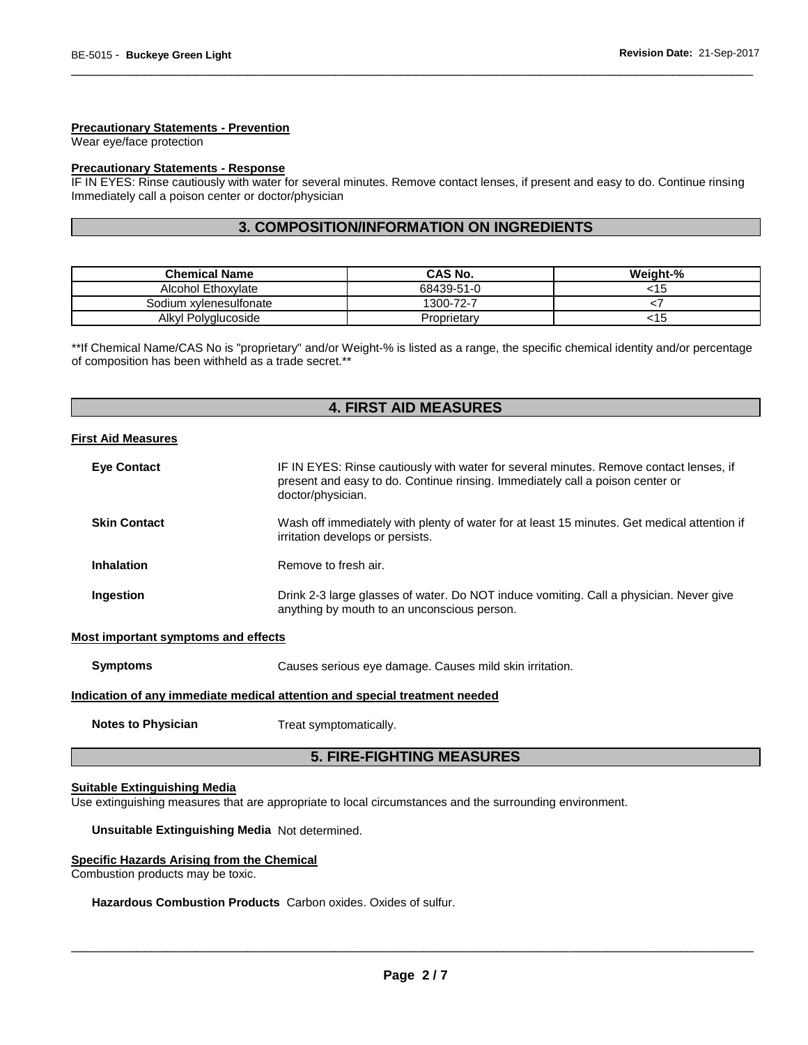#### **Precautionary Statements - Prevention**

Wear eye/face protection

#### **Precautionary Statements - Response**

IF IN EYES: Rinse cautiously with water for several minutes. Remove contact lenses, if present and easy to do. Continue rinsing Immediately call a poison center or doctor/physician

\_\_\_\_\_\_\_\_\_\_\_\_\_\_\_\_\_\_\_\_\_\_\_\_\_\_\_\_\_\_\_\_\_\_\_\_\_\_\_\_\_\_\_\_\_\_\_\_\_\_\_\_\_\_\_\_\_\_\_\_\_\_\_\_\_\_\_\_\_\_\_\_\_\_\_\_\_\_\_\_\_\_\_\_\_\_\_\_\_\_\_\_\_

# **3. COMPOSITION/INFORMATION ON INGREDIENTS**

| <b>Chemical Name</b>   | <b>CAS No.</b> | Weight-% |
|------------------------|----------------|----------|
| Alcohol Ethoxylate     | 68439-51-0     | 15:      |
| Sodium xylenesulfonate | 1300-72-7      |          |
| Alkyl Polyglucoside    | Proprietary    | <15      |

\*\*If Chemical Name/CAS No is "proprietary" and/or Weight-% is listed as a range, the specific chemical identity and/or percentage of composition has been withheld as a trade secret.\*\*

# **4. FIRST AID MEASURES**

#### **First Aid Measures**

| <b>Eve Contact</b>  | IF IN EYES: Rinse cautiously with water for several minutes. Remove contact lenses, if<br>present and easy to do. Continue rinsing. Immediately call a poison center or<br>doctor/physician. |
|---------------------|----------------------------------------------------------------------------------------------------------------------------------------------------------------------------------------------|
| <b>Skin Contact</b> | Wash off immediately with plenty of water for at least 15 minutes. Get medical attention if<br>irritation develops or persists.                                                              |
| <b>Inhalation</b>   | Remove to fresh air.                                                                                                                                                                         |
| Ingestion           | Drink 2-3 large glasses of water. Do NOT induce vomiting. Call a physician. Never give<br>anything by mouth to an unconscious person.                                                        |

#### **Most important symptoms and effects**

**Symptoms** Causes serious eye damage. Causes mild skin irritation.

#### **Indication of any immediate medical attention and special treatment needed**

**Notes to Physician Treat symptomatically.** 

# **5. FIRE-FIGHTING MEASURES**

#### **Suitable Extinguishing Media**

Use extinguishing measures that are appropriate to local circumstances and the surrounding environment.

#### **Unsuitable Extinguishing Media** Not determined.

#### **Specific Hazards Arising from the Chemical**

Combustion products may be toxic.

#### **Hazardous Combustion Products** Carbon oxides. Oxides of sulfur.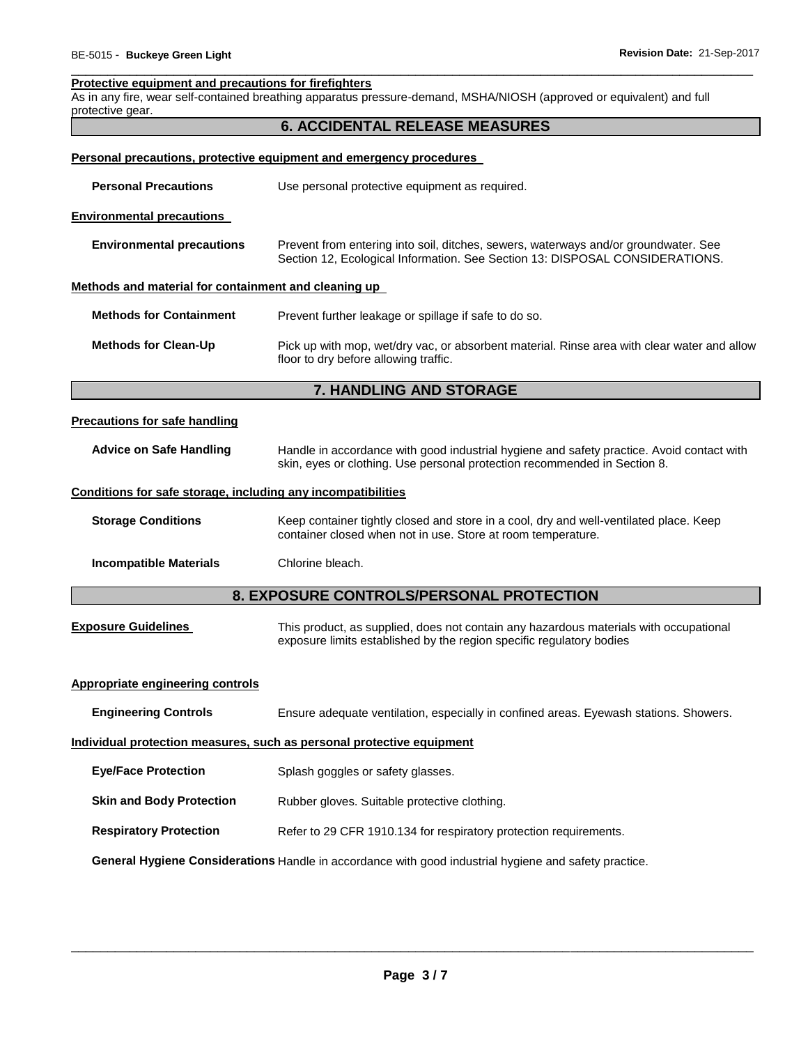#### **Protective equipment and precautions for firefighters**

As in any fire, wear self-contained breathing apparatus pressure-demand, MSHA/NIOSH (approved or equivalent) and full protective gear.

\_\_\_\_\_\_\_\_\_\_\_\_\_\_\_\_\_\_\_\_\_\_\_\_\_\_\_\_\_\_\_\_\_\_\_\_\_\_\_\_\_\_\_\_\_\_\_\_\_\_\_\_\_\_\_\_\_\_\_\_\_\_\_\_\_\_\_\_\_\_\_\_\_\_\_\_\_\_\_\_\_\_\_\_\_\_\_\_\_\_\_\_\_

|                                                                                                       | <b>6. ACCIDENTAL RELEASE MEASURES</b>                                                                                                                                  |  |  |  |
|-------------------------------------------------------------------------------------------------------|------------------------------------------------------------------------------------------------------------------------------------------------------------------------|--|--|--|
|                                                                                                       | Personal precautions, protective equipment and emergency procedures                                                                                                    |  |  |  |
| <b>Personal Precautions</b>                                                                           | Use personal protective equipment as required.                                                                                                                         |  |  |  |
| <b>Environmental precautions</b>                                                                      |                                                                                                                                                                        |  |  |  |
| <b>Environmental precautions</b>                                                                      | Prevent from entering into soil, ditches, sewers, waterways and/or groundwater. See<br>Section 12, Ecological Information. See Section 13: DISPOSAL CONSIDERATIONS.    |  |  |  |
| Methods and material for containment and cleaning up                                                  |                                                                                                                                                                        |  |  |  |
| <b>Methods for Containment</b>                                                                        | Prevent further leakage or spillage if safe to do so.                                                                                                                  |  |  |  |
| <b>Methods for Clean-Up</b>                                                                           | Pick up with mop, wet/dry vac, or absorbent material. Rinse area with clear water and allow<br>floor to dry before allowing traffic.                                   |  |  |  |
|                                                                                                       | 7. HANDLING AND STORAGE                                                                                                                                                |  |  |  |
| <b>Precautions for safe handling</b>                                                                  |                                                                                                                                                                        |  |  |  |
| <b>Advice on Safe Handling</b>                                                                        | Handle in accordance with good industrial hygiene and safety practice. Avoid contact with<br>skin, eyes or clothing. Use personal protection recommended in Section 8. |  |  |  |
| Conditions for safe storage, including any incompatibilities                                          |                                                                                                                                                                        |  |  |  |
| <b>Storage Conditions</b>                                                                             | Keep container tightly closed and store in a cool, dry and well-ventilated place. Keep<br>container closed when not in use. Store at room temperature.                 |  |  |  |
| <b>Incompatible Materials</b>                                                                         | Chlorine bleach.                                                                                                                                                       |  |  |  |
|                                                                                                       | 8. EXPOSURE CONTROLS/PERSONAL PROTECTION                                                                                                                               |  |  |  |
| <b>Exposure Guidelines</b>                                                                            | This product, as supplied, does not contain any hazardous materials with occupational<br>exposure limits established by the region specific regulatory bodies          |  |  |  |
| Appropriate engineering controls                                                                      |                                                                                                                                                                        |  |  |  |
| <b>Engineering Controls</b>                                                                           | Ensure adequate ventilation, especially in confined areas. Eyewash stations. Showers.                                                                                  |  |  |  |
|                                                                                                       | Individual protection measures, such as personal protective equipment                                                                                                  |  |  |  |
| <b>Eye/Face Protection</b>                                                                            | Splash goggles or safety glasses.                                                                                                                                      |  |  |  |
| <b>Skin and Body Protection</b>                                                                       | Rubber gloves. Suitable protective clothing.                                                                                                                           |  |  |  |
| <b>Respiratory Protection</b>                                                                         | Refer to 29 CFR 1910.134 for respiratory protection requirements.                                                                                                      |  |  |  |
| General Hygiene Considerations Handle in accordance with good industrial hygiene and safety practice. |                                                                                                                                                                        |  |  |  |
|                                                                                                       |                                                                                                                                                                        |  |  |  |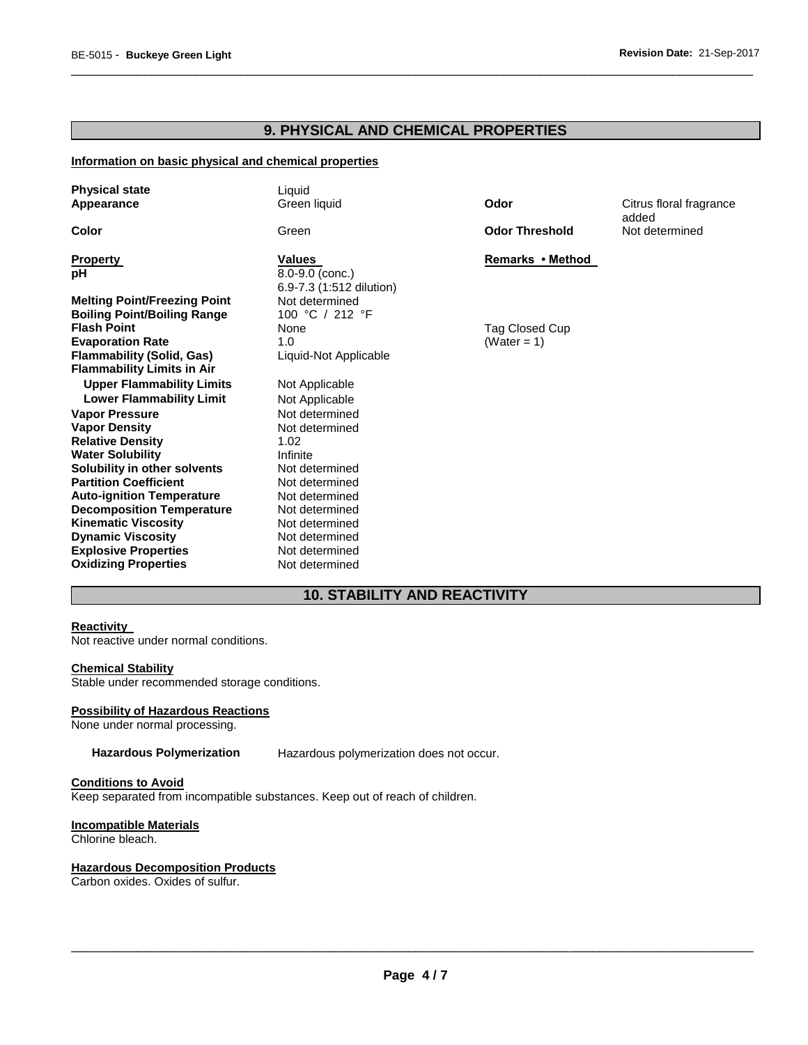# **9. PHYSICAL AND CHEMICAL PROPERTIES**

\_\_\_\_\_\_\_\_\_\_\_\_\_\_\_\_\_\_\_\_\_\_\_\_\_\_\_\_\_\_\_\_\_\_\_\_\_\_\_\_\_\_\_\_\_\_\_\_\_\_\_\_\_\_\_\_\_\_\_\_\_\_\_\_\_\_\_\_\_\_\_\_\_\_\_\_\_\_\_\_\_\_\_\_\_\_\_\_\_\_\_\_\_

#### **Information on basic physical and chemical properties**

| <b>Physical state</b><br>Appearance | Liquid<br>Green liquid   | Odor                  | Citrus floral fragrance |
|-------------------------------------|--------------------------|-----------------------|-------------------------|
|                                     |                          |                       | added                   |
| Color                               | Green                    | <b>Odor Threshold</b> | Not determined          |
| <b>Property</b>                     | <b>Values</b>            | Remarks • Method      |                         |
| рH                                  | 8.0-9.0 (conc.)          |                       |                         |
|                                     | 6.9-7.3 (1:512 dilution) |                       |                         |
| <b>Melting Point/Freezing Point</b> | Not determined           |                       |                         |
| <b>Boiling Point/Boiling Range</b>  | 100 °C / 212 °F          |                       |                         |
| <b>Flash Point</b>                  | None                     | Tag Closed Cup        |                         |
| <b>Evaporation Rate</b>             | 1.0                      | (Water = $1$ )        |                         |
| <b>Flammability (Solid, Gas)</b>    | Liquid-Not Applicable    |                       |                         |
| <b>Flammability Limits in Air</b>   |                          |                       |                         |
| <b>Upper Flammability Limits</b>    | Not Applicable           |                       |                         |
| <b>Lower Flammability Limit</b>     | Not Applicable           |                       |                         |
| <b>Vapor Pressure</b>               | Not determined           |                       |                         |
| <b>Vapor Density</b>                | Not determined           |                       |                         |
| <b>Relative Density</b>             | 1.02                     |                       |                         |
| <b>Water Solubility</b>             | Infinite                 |                       |                         |
| Solubility in other solvents        | Not determined           |                       |                         |
| <b>Partition Coefficient</b>        | Not determined           |                       |                         |
| <b>Auto-ignition Temperature</b>    | Not determined           |                       |                         |
| <b>Decomposition Temperature</b>    | Not determined           |                       |                         |
| <b>Kinematic Viscosity</b>          | Not determined           |                       |                         |
| <b>Dynamic Viscosity</b>            | Not determined           |                       |                         |
| <b>Explosive Properties</b>         | Not determined           |                       |                         |
| <b>Oxidizing Properties</b>         | Not determined           |                       |                         |

# **10. STABILITY AND REACTIVITY**

# **Reactivity**

Not reactive under normal conditions.

#### **Chemical Stability**

Stable under recommended storage conditions.

#### **Possibility of Hazardous Reactions**

None under normal processing.

**Hazardous Polymerization** Hazardous polymerization does not occur.

#### **Conditions to Avoid**

Keep separated from incompatible substances. Keep out of reach of children.

# **Incompatible Materials**

Chlorine bleach.

#### **Hazardous Decomposition Products**

Carbon oxides. Oxides of sulfur.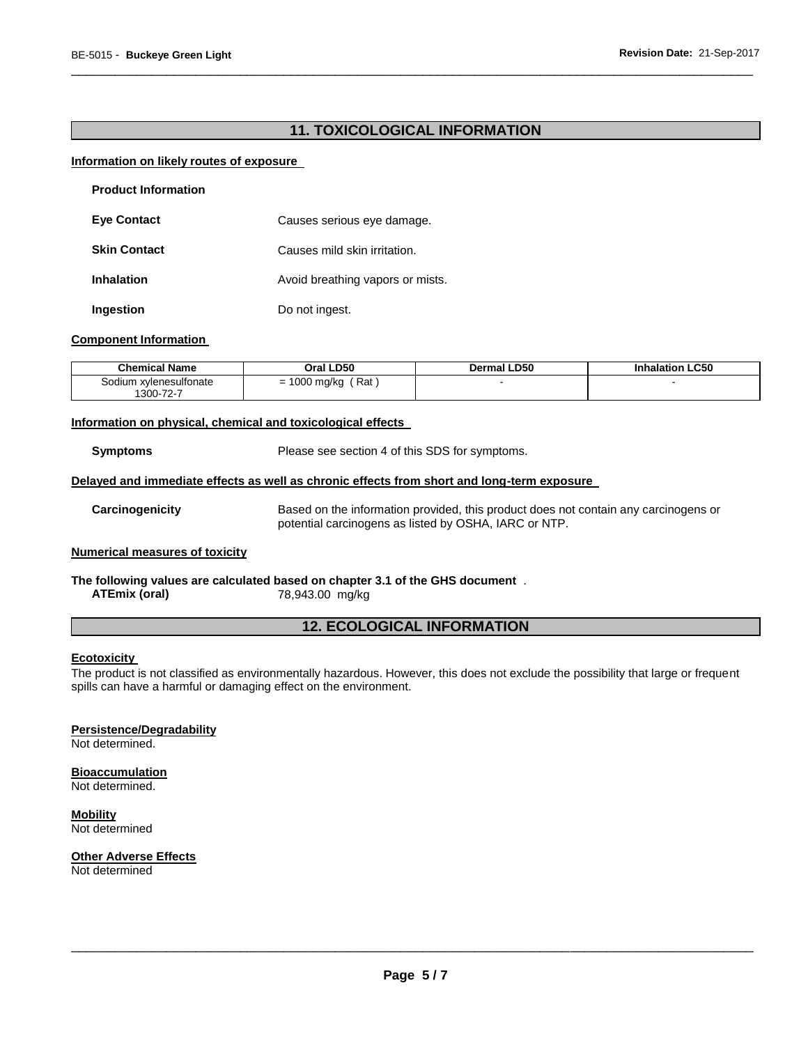# **11. TOXICOLOGICAL INFORMATION**

\_\_\_\_\_\_\_\_\_\_\_\_\_\_\_\_\_\_\_\_\_\_\_\_\_\_\_\_\_\_\_\_\_\_\_\_\_\_\_\_\_\_\_\_\_\_\_\_\_\_\_\_\_\_\_\_\_\_\_\_\_\_\_\_\_\_\_\_\_\_\_\_\_\_\_\_\_\_\_\_\_\_\_\_\_\_\_\_\_\_\_\_\_

#### **Information on likely routes of exposure**

| <b>Product Information</b> |                                  |
|----------------------------|----------------------------------|
| <b>Eye Contact</b>         | Causes serious eye damage.       |
| <b>Skin Contact</b>        | Causes mild skin irritation.     |
| <b>Inhalation</b>          | Avoid breathing vapors or mists. |
| Ingestion                  | Do not ingest.                   |

#### **Component Information**

| <b>Chemical Name</b>                    | Oral LD50                        | <b>Dermal LD50</b> | <b>Inhalation LC50</b> |
|-----------------------------------------|----------------------------------|--------------------|------------------------|
| ∟xvlenesulfonate<br>.odium<br>1300-72-7 | Rat<br>$\sim$<br>1000 mg/kg<br>- |                    |                        |

#### **Information on physical, chemical and toxicological effects**

**Symptoms** Please see section 4 of this SDS for symptoms.

#### **Delayed and immediate effects as well as chronic effects from short and long-term exposure**

**Carcinogenicity** Based on the information provided, this product does not contain any carcinogens or potential carcinogens as listed by OSHA, IARC or NTP.

### **Numerical measures of toxicity**

#### **The following values are calculated based on chapter 3.1 of the GHS document** . **ATEmix (oral)** 78,943.00 mg/kg

# **12. ECOLOGICAL INFORMATION**

#### **Ecotoxicity**

The product is not classified as environmentally hazardous. However, this does not exclude the possibility that large or frequent spills can have a harmful or damaging effect on the environment.

#### **Persistence/Degradability**

Not determined.

#### **Bioaccumulation**

Not determined.

**Mobility** Not determined

**Other Adverse Effects**

Not determined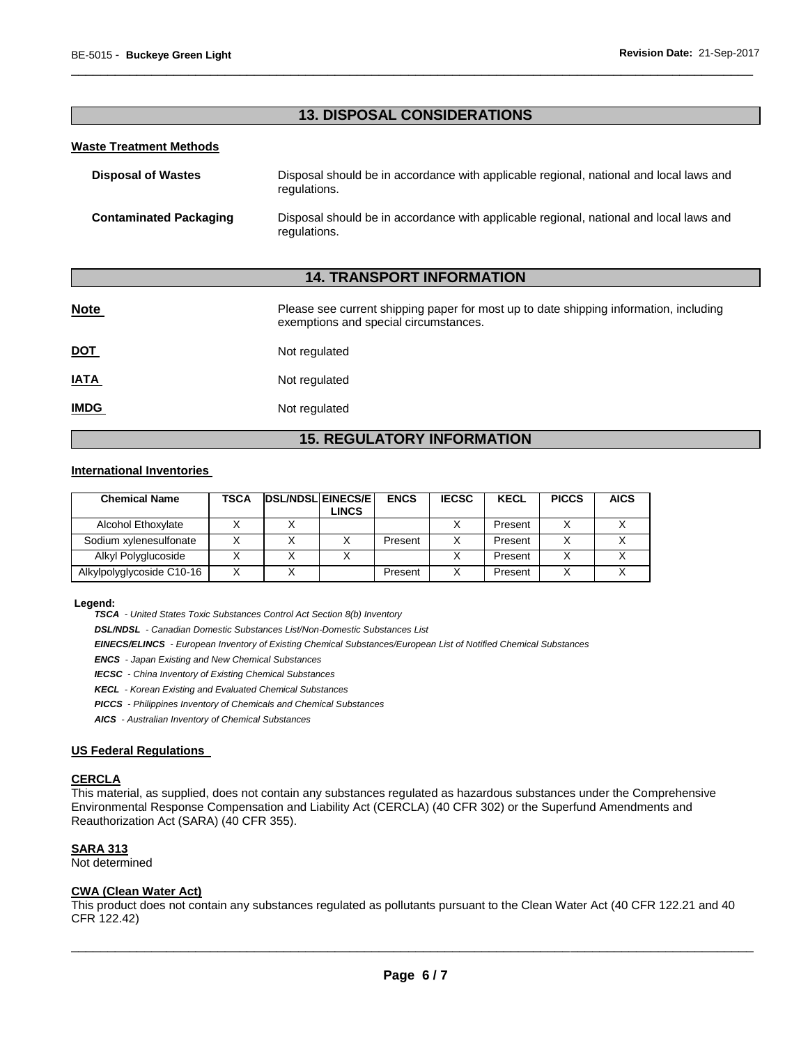# **13. DISPOSAL CONSIDERATIONS**

\_\_\_\_\_\_\_\_\_\_\_\_\_\_\_\_\_\_\_\_\_\_\_\_\_\_\_\_\_\_\_\_\_\_\_\_\_\_\_\_\_\_\_\_\_\_\_\_\_\_\_\_\_\_\_\_\_\_\_\_\_\_\_\_\_\_\_\_\_\_\_\_\_\_\_\_\_\_\_\_\_\_\_\_\_\_\_\_\_\_\_\_\_

### **Waste Treatment Methods**

| <b>Disposal of Wastes</b>     | Disposal should be in accordance with applicable regional, national and local laws and<br>regulations. |
|-------------------------------|--------------------------------------------------------------------------------------------------------|
| <b>Contaminated Packaging</b> | Disposal should be in accordance with applicable regional, national and local laws and<br>regulations. |

# **14. TRANSPORT INFORMATION**

| <b>Note</b> | Please see current shipping paper for most up to date shipping information, including<br>exemptions and special circumstances. |
|-------------|--------------------------------------------------------------------------------------------------------------------------------|
| <u>DOT</u>  | Not regulated                                                                                                                  |
| <u>IATA</u> | Not regulated                                                                                                                  |
| <b>IMDG</b> | Not regulated                                                                                                                  |

# **15. REGULATORY INFORMATION**

#### **International Inventories**

| <b>Chemical Name</b>      | TSCA | <b>DSL/NDSL EINECS/E</b> | LINCS | <b>ENCS</b> | <b>IECSC</b> | <b>KECL</b> | <b>PICCS</b> | <b>AICS</b> |
|---------------------------|------|--------------------------|-------|-------------|--------------|-------------|--------------|-------------|
| Alcohol Ethoxylate        |      |                          |       |             |              | Present     |              |             |
| Sodium xylenesulfonate    |      |                          |       | Present     |              | Present     |              |             |
| Alkyl Polyglucoside       |      |                          |       |             |              | Present     | ν            |             |
| Alkylpolyglycoside C10-16 |      |                          |       | Present     |              | Present     |              |             |

#### **Legend:**

*TSCA - United States Toxic Substances Control Act Section 8(b) Inventory* 

*DSL/NDSL - Canadian Domestic Substances List/Non-Domestic Substances List* 

*EINECS/ELINCS - European Inventory of Existing Chemical Substances/European List of Notified Chemical Substances* 

*ENCS - Japan Existing and New Chemical Substances* 

*IECSC - China Inventory of Existing Chemical Substances* 

*KECL - Korean Existing and Evaluated Chemical Substances* 

*PICCS - Philippines Inventory of Chemicals and Chemical Substances* 

*AICS - Australian Inventory of Chemical Substances* 

#### **US Federal Regulations**

#### **CERCLA**

This material, as supplied, does not contain any substances regulated as hazardous substances under the Comprehensive Environmental Response Compensation and Liability Act (CERCLA) (40 CFR 302) or the Superfund Amendments and Reauthorization Act (SARA) (40 CFR 355).

#### **SARA 313**

Not determined

# **CWA (Clean Water Act)**

This product does not contain any substances regulated as pollutants pursuant to the Clean Water Act (40 CFR 122.21 and 40 CFR 122.42)